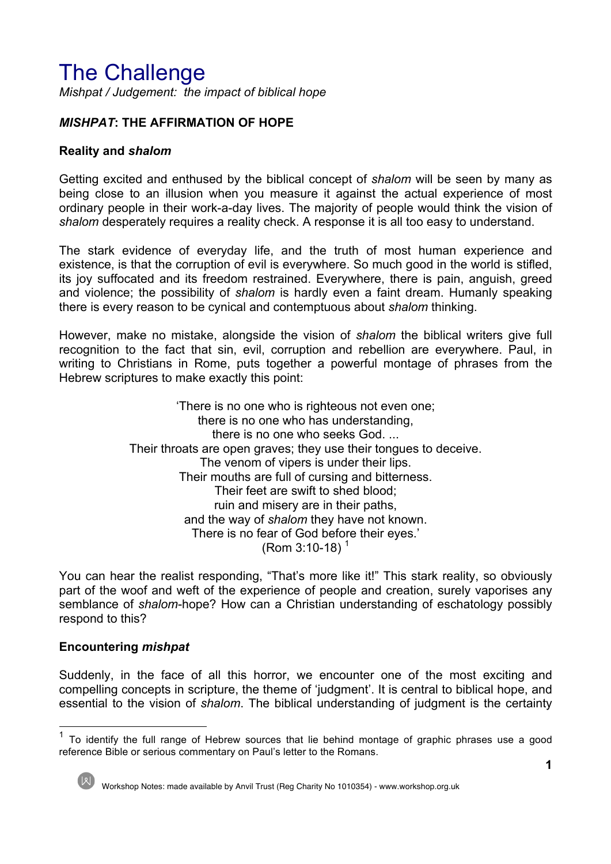# The Challenge

*Mishpat / Judgement: the impact of biblical hope*

## *MISHPAT***: THE AFFIRMATION OF HOPE**

#### **Reality and** *shalom*

Getting excited and enthused by the biblical concept of *shalom* will be seen by many as being close to an illusion when you measure it against the actual experience of most ordinary people in their work-a-day lives. The majority of people would think the vision of *shalom* desperately requires a reality check. A response it is all too easy to understand.

The stark evidence of everyday life, and the truth of most human experience and existence, is that the corruption of evil is everywhere. So much good in the world is stifled, its joy suffocated and its freedom restrained. Everywhere, there is pain, anguish, greed and violence; the possibility of *shalom* is hardly even a faint dream. Humanly speaking there is every reason to be cynical and contemptuous about *shalom* thinking.

However, make no mistake, alongside the vision of *shalom* the biblical writers give full recognition to the fact that sin, evil, corruption and rebellion are everywhere. Paul, in writing to Christians in Rome, puts together a powerful montage of phrases from the Hebrew scriptures to make exactly this point:

> 'There is no one who is righteous not even one; there is no one who has understanding, there is no one who seeks God. ... Their throats are open graves; they use their tongues to deceive. The venom of vipers is under their lips. Their mouths are full of cursing and bitterness. Their feet are swift to shed blood; ruin and misery are in their paths, and the way of *shalom* they have not known. There is no fear of God before their eyes.'  $(Rom 3:10-18)^1$

You can hear the realist responding, "That's more like it!" This stark reality, so obviously part of the woof and weft of the experience of people and creation, surely vaporises any semblance of *shalom*-hope? How can a Christian understanding of eschatology possibly respond to this?

## **Encountering** *mishpat*

Suddenly, in the face of all this horror, we encounter one of the most exciting and compelling concepts in scripture, the theme of 'judgment'. It is central to biblical hope, and essential to the vision of *shalom*. The biblical understanding of judgment is the certainty

<sup>1</sup> To identify the full range of Hebrew sources that lie behind montage of graphic phrases use a good reference Bible or serious commentary on Paul's letter to the Romans.

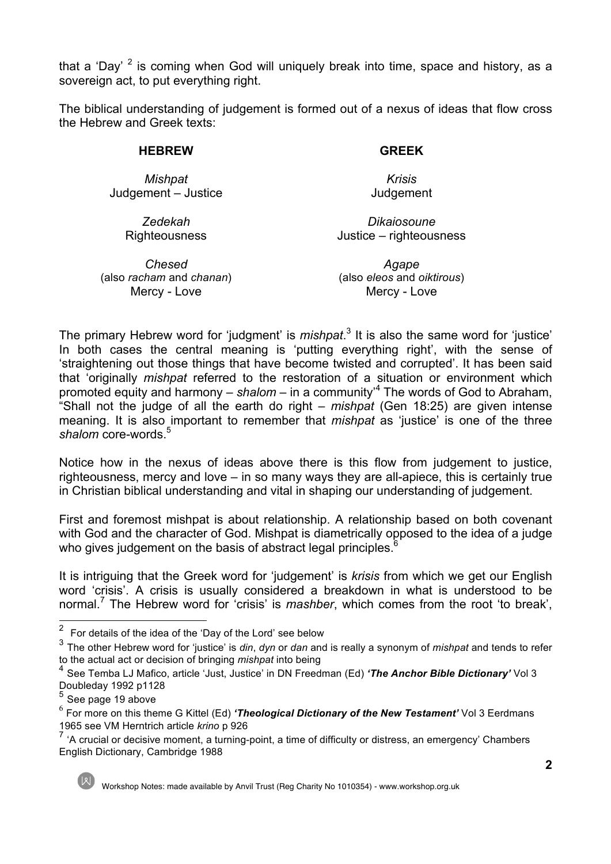that a 'Day'  $2$  is coming when God will uniquely break into time, space and history, as a sovereign act, to put everything right.

The biblical understanding of judgement is formed out of a nexus of ideas that flow cross the Hebrew and Greek texts:

#### **HEBREW**

#### **GREEK**

*Krisis* Judgement

*Mishpat* Judgement – Justice

*Dikaiosoune*

Justice – righteousness

*Zedekah* **Righteousness** 

*Chesed* (also *racham* and *chanan*) Mercy - Love

*Agape* (also *eleos* and *oiktirous*) Mercy - Love

The primary Hebrew word for 'judgment' is *mishpat*. <sup>3</sup> It is also the same word for 'justice' In both cases the central meaning is 'putting everything right', with the sense of 'straightening out those things that have become twisted and corrupted'. It has been said that 'originally *mishpat* referred to the restoration of a situation or environment which promoted equity and harmony – *shalom* – in a community'<sup>4</sup> The words of God to Abraham, "Shall not the judge of all the earth do right – *mishpat* (Gen 18:25) are given intense meaning. It is also important to remember that *mishpat* as 'justice' is one of the three shalom core-words.<sup>5</sup>

Notice how in the nexus of ideas above there is this flow from judgement to justice, righteousness, mercy and love – in so many ways they are all-apiece, this is certainly true in Christian biblical understanding and vital in shaping our understanding of judgement.

First and foremost mishpat is about relationship. A relationship based on both covenant with God and the character of God. Mishpat is diametrically opposed to the idea of a judge who gives judgement on the basis of abstract legal principles.<sup>6</sup>

It is intriguing that the Greek word for 'judgement' is *krisis* from which we get our English word 'crisis'. A crisis is usually considered a breakdown in what is understood to be normal.<sup>7</sup> The Hebrew word for 'crisis' is *mashber*, which comes from the root 'to break',

2 For details of the idea of the 'Day of the Lord' see below

<sup>3</sup> The other Hebrew word for 'justice' is *din*, *dyn* or *dan* and is really a synonym of *mishpat* and tends to refer to the actual act or decision of bringing *mishpat* into being

<sup>4</sup> See Temba LJ Mafico, article 'Just, Justice' in DN Freedman (Ed) *'The Anchor Bible Dictionary'* Vol 3 Doubleday 1992 p1128

 $5$  See page 19 above

<sup>6</sup> For more on this theme G Kittel (Ed) *'Theological Dictionary of the New Testament'* Vol 3 Eerdmans 1965 see VM Herntrich article *krino* p 926

<sup>&</sup>lt;sup>7</sup> 'A crucial or decisive moment, a turning-point, a time of difficulty or distress, an emergency' Chambers English Dictionary, Cambridge 1988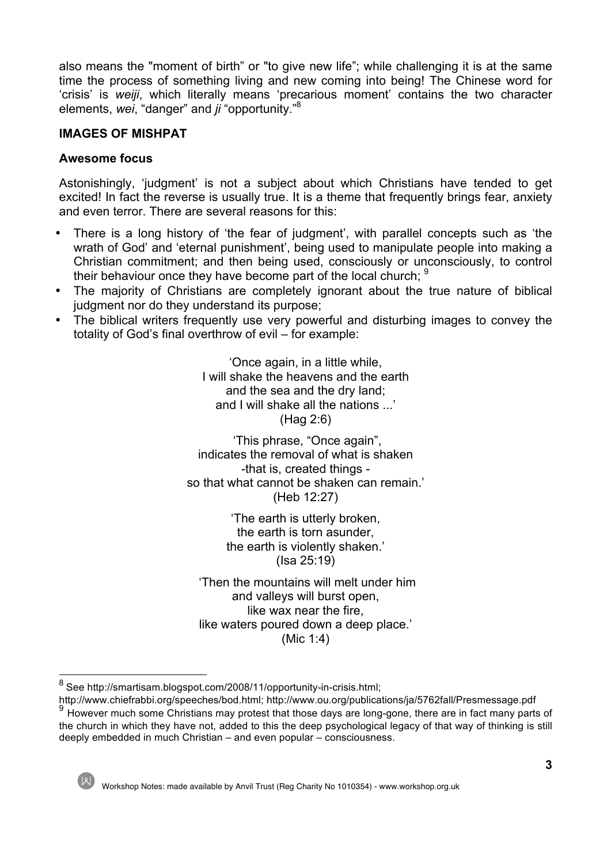also means the "moment of birth" or "to give new life"; while challenging it is at the same time the process of something living and new coming into being! The Chinese word for 'crisis' is *weiji*, which literally means 'precarious moment' contains the two character elements, *wei*, "danger" and *ji* "opportunity."8

#### **IMAGES OF MISHPAT**

#### **Awesome focus**

Astonishingly, 'judgment' is not a subject about which Christians have tended to get excited! In fact the reverse is usually true. It is a theme that frequently brings fear, anxiety and even terror. There are several reasons for this:

- There is a long history of 'the fear of judgment', with parallel concepts such as 'the wrath of God' and 'eternal punishment', being used to manipulate people into making a Christian commitment; and then being used, consciously or unconsciously, to control their behaviour once they have become part of the local church;  $9$
- The majority of Christians are completely ignorant about the true nature of biblical judgment nor do they understand its purpose;
- The biblical writers frequently use very powerful and disturbing images to convey the totality of God's final overthrow of evil – for example:

'Once again, in a little while, I will shake the heavens and the earth and the sea and the dry land; and I will shake all the nations ...' (Hag 2:6)

'This phrase, "Once again", indicates the removal of what is shaken -that is, created things so that what cannot be shaken can remain.' (Heb 12:27)

> 'The earth is utterly broken, the earth is torn asunder, the earth is violently shaken.' (Isa 25:19)

'Then the mountains will melt under him and valleys will burst open, like wax near the fire, like waters poured down a deep place.' (Mic 1:4)

<sup>&</sup>lt;sup>8</sup> See http://smartisam.blogspot.com/2008/11/opportunity-in-crisis.html;<br>http://www.chiefrabbi.org/speeches/bod.html; http://www.ou.org/publications/ja/5762fall/Presmessage.pdf

 $\frac{9}{9}$  However much some Christians may protest that those days are long-gone, there are in fact many parts of the church in which they have not, added to this the deep psychological legacy of that way of thinking is still deeply embedded in much Christian – and even popular – consciousness.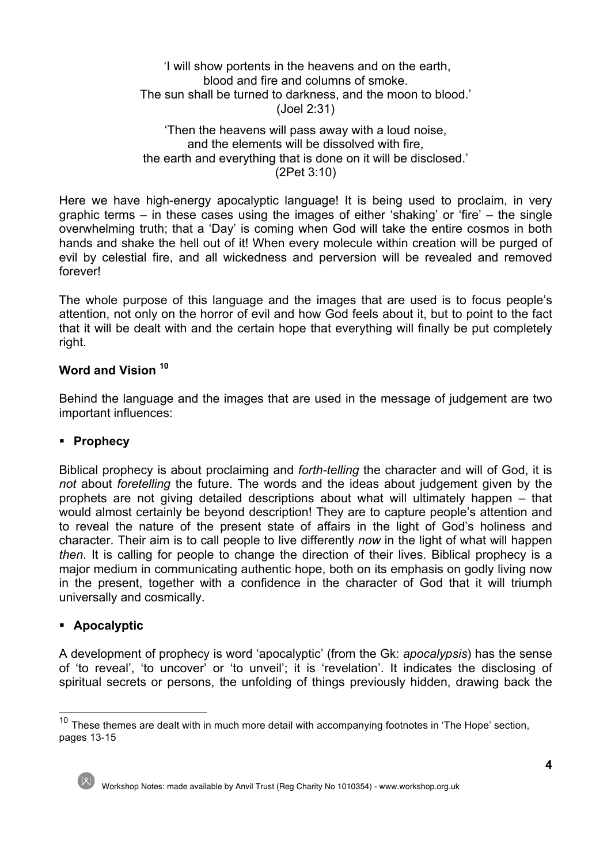## 'I will show portents in the heavens and on the earth, blood and fire and columns of smoke. The sun shall be turned to darkness, and the moon to blood.' (Joel 2:31)

#### 'Then the heavens will pass away with a loud noise, and the elements will be dissolved with fire, the earth and everything that is done on it will be disclosed.' (2Pet 3:10)

Here we have high-energy apocalyptic language! It is being used to proclaim, in very graphic terms – in these cases using the images of either 'shaking' or 'fire' – the single overwhelming truth; that a 'Day' is coming when God will take the entire cosmos in both hands and shake the hell out of it! When every molecule within creation will be purged of evil by celestial fire, and all wickedness and perversion will be revealed and removed forever!

The whole purpose of this language and the images that are used is to focus people's attention, not only on the horror of evil and how God feels about it, but to point to the fact that it will be dealt with and the certain hope that everything will finally be put completely right.

## **Word and Vision 10**

Behind the language and the images that are used in the message of judgement are two important influences:

## § **Prophecy**

Biblical prophecy is about proclaiming and *forth-telling* the character and will of God, it is *not* about *foretelling* the future. The words and the ideas about judgement given by the prophets are not giving detailed descriptions about what will ultimately happen – that would almost certainly be beyond description! They are to capture people's attention and to reveal the nature of the present state of affairs in the light of God's holiness and character. Their aim is to call people to live differently *now* in the light of what will happen *then*. It is calling for people to change the direction of their lives. Biblical prophecy is a major medium in communicating authentic hope, both on its emphasis on godly living now in the present, together with a confidence in the character of God that it will triumph universally and cosmically.

## § **Apocalyptic**

A development of prophecy is word 'apocalyptic' (from the Gk: *apocalypsis*) has the sense of 'to reveal', 'to uncover' or 'to unveil'; it is 'revelation'. It indicates the disclosing of spiritual secrets or persons, the unfolding of things previously hidden, drawing back the

 $10$  These themes are dealt with in much more detail with accompanying footnotes in 'The Hope' section, pages 13-15



Workshop Notes: made available by Anvil Trust (Reg Charity No 1010354) - www.workshop.org.uk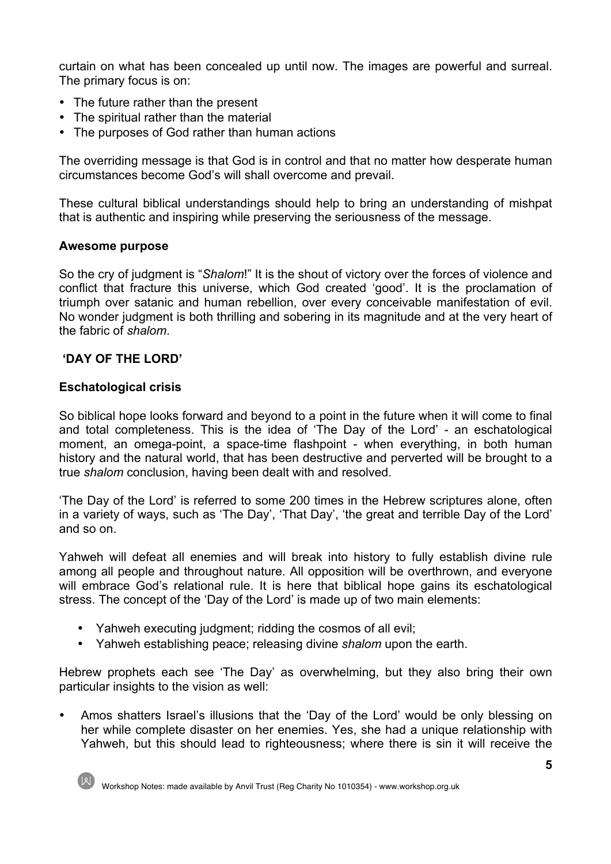curtain on what has been concealed up until now. The images are powerful and surreal. The primary focus is on:

- The future rather than the present
- The spiritual rather than the material
- The purposes of God rather than human actions

The overriding message is that God is in control and that no matter how desperate human circumstances become God's will shall overcome and prevail.

These cultural biblical understandings should help to bring an understanding of mishpat that is authentic and inspiring while preserving the seriousness of the message.

#### **Awesome purpose**

So the cry of judgment is "*Shalom*!" It is the shout of victory over the forces of violence and conflict that fracture this universe, which God created 'good'. It is the proclamation of triumph over satanic and human rebellion, over every conceivable manifestation of evil. No wonder judgment is both thrilling and sobering in its magnitude and at the very heart of the fabric of *shalom*.

## **'DAY OF THE LORD'**

#### **Eschatological crisis**

So biblical hope looks forward and beyond to a point in the future when it will come to final and total completeness. This is the idea of 'The Day of the Lord' - an eschatological moment, an omega-point, a space-time flashpoint - when everything, in both human history and the natural world, that has been destructive and perverted will be brought to a true *shalom* conclusion, having been dealt with and resolved.

'The Day of the Lord' is referred to some 200 times in the Hebrew scriptures alone, often in a variety of ways, such as 'The Day', 'That Day', 'the great and terrible Day of the Lord' and so on.

Yahweh will defeat all enemies and will break into history to fully establish divine rule among all people and throughout nature. All opposition will be overthrown, and everyone will embrace God's relational rule. It is here that biblical hope gains its eschatological stress. The concept of the 'Day of the Lord' is made up of two main elements:

- Yahweh executing judgment; ridding the cosmos of all evil;
- Yahweh establishing peace; releasing divine *shalom* upon the earth.

Hebrew prophets each see 'The Day' as overwhelming, but they also bring their own particular insights to the vision as well:

• Amos shatters Israel's illusions that the 'Day of the Lord' would be only blessing on her while complete disaster on her enemies. Yes, she had a unique relationship with Yahweh, but this should lead to righteousness; where there is sin it will receive the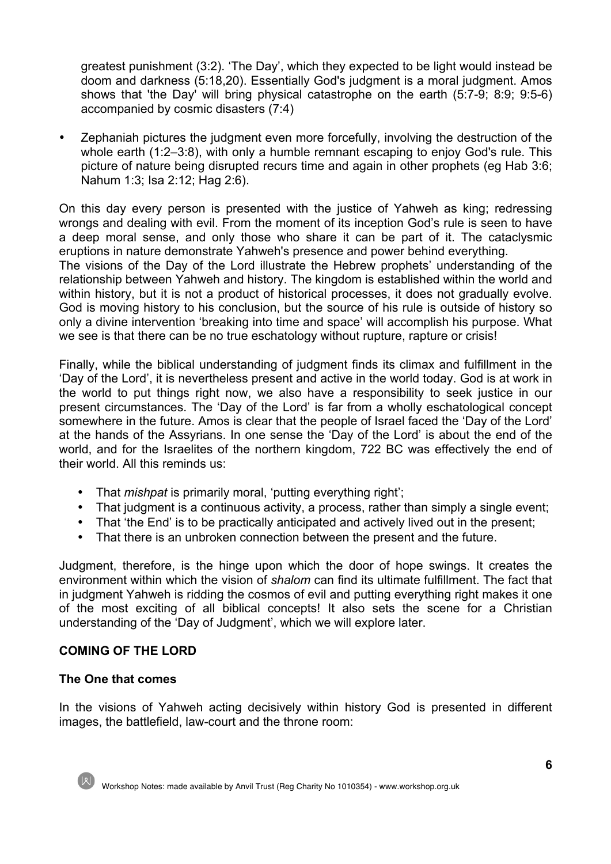greatest punishment (3:2). 'The Day', which they expected to be light would instead be doom and darkness (5:18,20). Essentially God's judgment is a moral judgment. Amos shows that 'the Day' will bring physical catastrophe on the earth (5:7-9; 8:9; 9:5-6) accompanied by cosmic disasters (7:4)

• Zephaniah pictures the judgment even more forcefully, involving the destruction of the whole earth (1:2–3:8), with only a humble remnant escaping to enjoy God's rule. This picture of nature being disrupted recurs time and again in other prophets (eg Hab 3:6; Nahum 1:3; Isa 2:12; Hag 2:6).

On this day every person is presented with the justice of Yahweh as king; redressing wrongs and dealing with evil. From the moment of its inception God's rule is seen to have a deep moral sense, and only those who share it can be part of it. The cataclysmic eruptions in nature demonstrate Yahweh's presence and power behind everything. The visions of the Day of the Lord illustrate the Hebrew prophets' understanding of the relationship between Yahweh and history. The kingdom is established within the world and within history, but it is not a product of historical processes, it does not gradually evolve. God is moving history to his conclusion, but the source of his rule is outside of history so only a divine intervention 'breaking into time and space' will accomplish his purpose. What we see is that there can be no true eschatology without rupture, rapture or crisis!

Finally, while the biblical understanding of judgment finds its climax and fulfillment in the 'Day of the Lord', it is nevertheless present and active in the world today. God is at work in the world to put things right now, we also have a responsibility to seek justice in our present circumstances. The 'Day of the Lord' is far from a wholly eschatological concept somewhere in the future. Amos is clear that the people of Israel faced the 'Day of the Lord' at the hands of the Assyrians. In one sense the 'Day of the Lord' is about the end of the world, and for the Israelites of the northern kingdom, 722 BC was effectively the end of their world. All this reminds us:

- That *mishpat* is primarily moral, 'putting everything right';
- That judgment is a continuous activity, a process, rather than simply a single event;
- That 'the End' is to be practically anticipated and actively lived out in the present;
- That there is an unbroken connection between the present and the future.

Judgment, therefore, is the hinge upon which the door of hope swings. It creates the environment within which the vision of *shalom* can find its ultimate fulfillment. The fact that in judgment Yahweh is ridding the cosmos of evil and putting everything right makes it one of the most exciting of all biblical concepts! It also sets the scene for a Christian understanding of the 'Day of Judgment', which we will explore later.

#### **COMING OF THE LORD**

#### **The One that comes**

In the visions of Yahweh acting decisively within history God is presented in different images, the battlefield, law-court and the throne room:

Workshop Notes: made available by Anvil Trust (Reg Charity No 1010354) - www.workshop.org.uk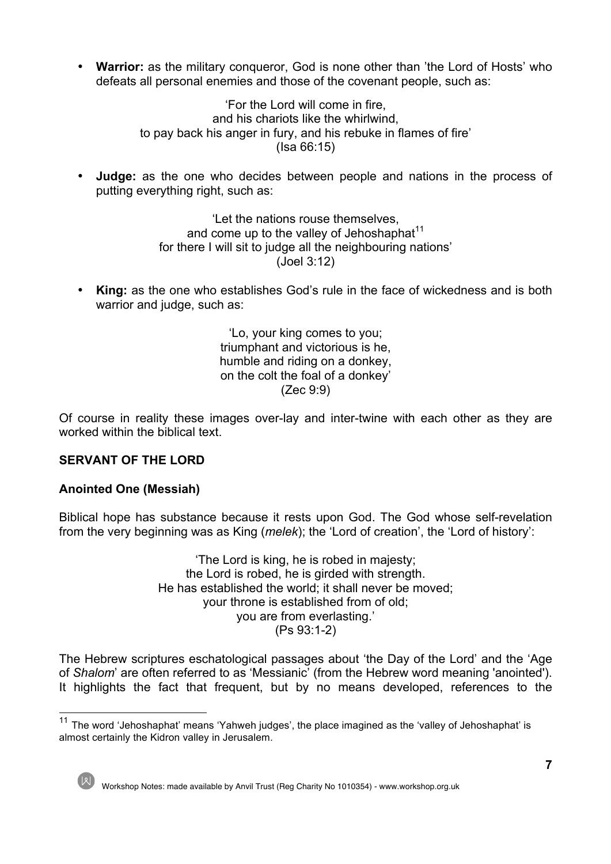• **Warrior:** as the military conqueror, God is none other than 'the Lord of Hosts' who defeats all personal enemies and those of the covenant people, such as:

> 'For the Lord will come in fire, and his chariots like the whirlwind, to pay back his anger in fury, and his rebuke in flames of fire' (Isa 66:15)

• **Judge:** as the one who decides between people and nations in the process of putting everything right, such as:

> 'Let the nations rouse themselves, and come up to the valley of Jehoshaphat<sup>11</sup> for there I will sit to judge all the neighbouring nations' (Joel 3:12)

• **King:** as the one who establishes God's rule in the face of wickedness and is both warrior and judge, such as:

> 'Lo, your king comes to you; triumphant and victorious is he, humble and riding on a donkey, on the colt the foal of a donkey' (Zec 9:9)

Of course in reality these images over-lay and inter-twine with each other as they are worked within the biblical text.

## **SERVANT OF THE LORD**

## **Anointed One (Messiah)**

Biblical hope has substance because it rests upon God. The God whose self-revelation from the very beginning was as King (*melek*); the 'Lord of creation', the 'Lord of history':

> 'The Lord is king, he is robed in majesty; the Lord is robed, he is girded with strength. He has established the world; it shall never be moved; your throne is established from of old; you are from everlasting.' (Ps 93:1-2)

The Hebrew scriptures eschatological passages about 'the Day of the Lord' and the 'Age of *Shalom*' are often referred to as 'Messianic' (from the Hebrew word meaning 'anointed'). It highlights the fact that frequent, but by no means developed, references to the

<sup>&</sup>lt;sup>11</sup> The word 'Jehoshaphat' means 'Yahweh judges', the place imagined as the 'valley of Jehoshaphat' is almost certainly the Kidron valley in Jerusalem.

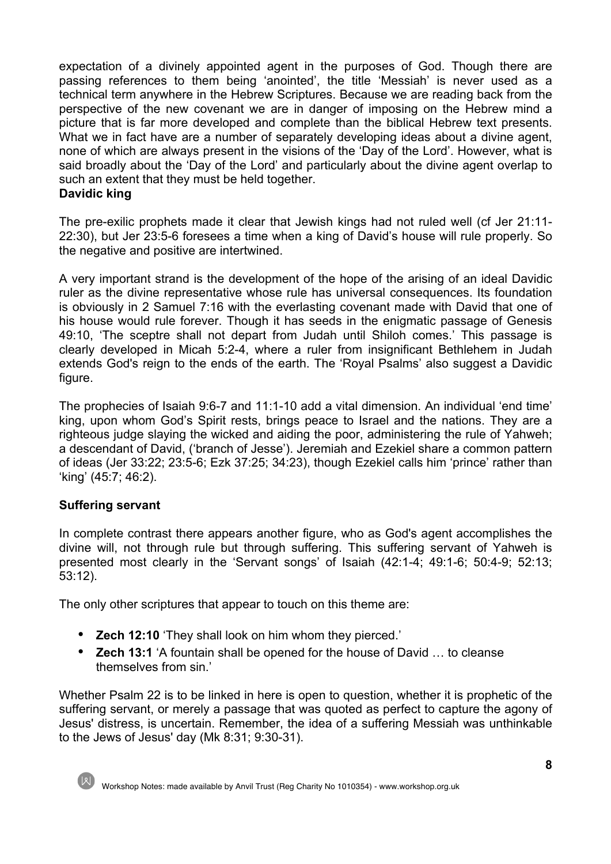expectation of a divinely appointed agent in the purposes of God. Though there are passing references to them being 'anointed', the title 'Messiah' is never used as a technical term anywhere in the Hebrew Scriptures. Because we are reading back from the perspective of the new covenant we are in danger of imposing on the Hebrew mind a picture that is far more developed and complete than the biblical Hebrew text presents. What we in fact have are a number of separately developing ideas about a divine agent, none of which are always present in the visions of the 'Day of the Lord'. However, what is said broadly about the 'Day of the Lord' and particularly about the divine agent overlap to such an extent that they must be held together.

## **Davidic king**

The pre-exilic prophets made it clear that Jewish kings had not ruled well (cf Jer 21:11- 22:30), but Jer 23:5-6 foresees a time when a king of David's house will rule properly. So the negative and positive are intertwined.

A very important strand is the development of the hope of the arising of an ideal Davidic ruler as the divine representative whose rule has universal consequences. Its foundation is obviously in 2 Samuel 7:16 with the everlasting covenant made with David that one of his house would rule forever. Though it has seeds in the enigmatic passage of Genesis 49:10, 'The sceptre shall not depart from Judah until Shiloh comes.' This passage is clearly developed in Micah 5:2-4, where a ruler from insignificant Bethlehem in Judah extends God's reign to the ends of the earth. The 'Royal Psalms' also suggest a Davidic figure.

The prophecies of Isaiah 9:6-7 and 11:1-10 add a vital dimension. An individual 'end time' king, upon whom God's Spirit rests, brings peace to Israel and the nations. They are a righteous judge slaying the wicked and aiding the poor, administering the rule of Yahweh; a descendant of David, ('branch of Jesse'). Jeremiah and Ezekiel share a common pattern of ideas (Jer 33:22; 23:5-6; Ezk 37:25; 34:23), though Ezekiel calls him 'prince' rather than 'king' (45:7; 46:2).

## **Suffering servant**

In complete contrast there appears another figure, who as God's agent accomplishes the divine will, not through rule but through suffering. This suffering servant of Yahweh is presented most clearly in the 'Servant songs' of Isaiah (42:1-4; 49:1-6; 50:4-9; 52:13; 53:12).

The only other scriptures that appear to touch on this theme are:

- **Zech 12:10** 'They shall look on him whom they pierced.'
- **Zech 13:1** 'A fountain shall be opened for the house of David … to cleanse themselves from sin.'

Whether Psalm 22 is to be linked in here is open to question, whether it is prophetic of the suffering servant, or merely a passage that was quoted as perfect to capture the agony of Jesus' distress, is uncertain. Remember, the idea of a suffering Messiah was unthinkable to the Jews of Jesus' day (Mk 8:31; 9:30-31).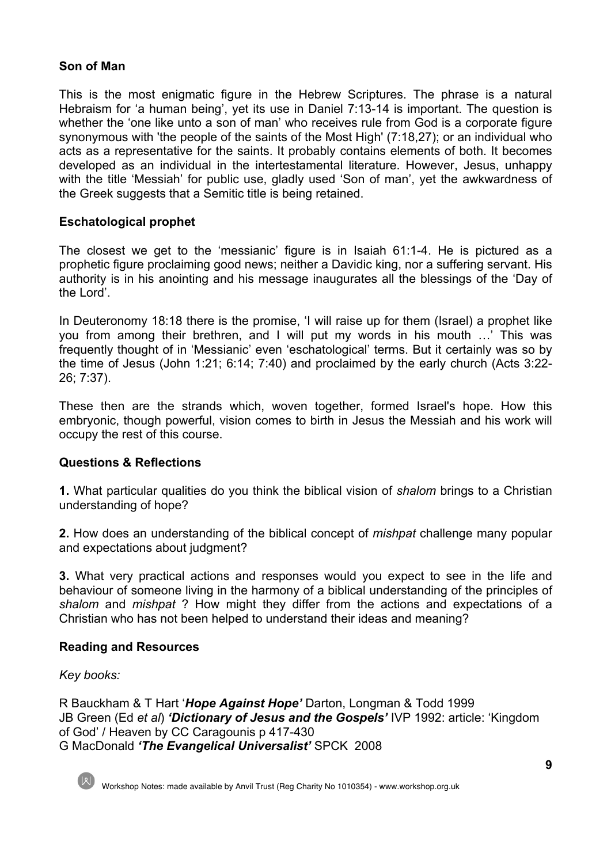## **Son of Man**

This is the most enigmatic figure in the Hebrew Scriptures. The phrase is a natural Hebraism for 'a human being', yet its use in Daniel 7:13-14 is important. The question is whether the 'one like unto a son of man' who receives rule from God is a corporate figure synonymous with 'the people of the saints of the Most High' (7:18,27); or an individual who acts as a representative for the saints. It probably contains elements of both. It becomes developed as an individual in the intertestamental literature. However, Jesus, unhappy with the title 'Messiah' for public use, gladly used 'Son of man', yet the awkwardness of the Greek suggests that a Semitic title is being retained.

## **Eschatological prophet**

The closest we get to the 'messianic' figure is in Isaiah 61:1-4. He is pictured as a prophetic figure proclaiming good news; neither a Davidic king, nor a suffering servant. His authority is in his anointing and his message inaugurates all the blessings of the 'Day of the Lord'.

In Deuteronomy 18:18 there is the promise, 'I will raise up for them (Israel) a prophet like you from among their brethren, and I will put my words in his mouth …' This was frequently thought of in 'Messianic' even 'eschatological' terms. But it certainly was so by the time of Jesus (John 1:21; 6:14; 7:40) and proclaimed by the early church (Acts 3:22- 26; 7:37).

These then are the strands which, woven together, formed Israel's hope. How this embryonic, though powerful, vision comes to birth in Jesus the Messiah and his work will occupy the rest of this course.

## **Questions & Reflections**

**1.** What particular qualities do you think the biblical vision of *shalom* brings to a Christian understanding of hope?

**2.** How does an understanding of the biblical concept of *mishpat* challenge many popular and expectations about judgment?

**3.** What very practical actions and responses would you expect to see in the life and behaviour of someone living in the harmony of a biblical understanding of the principles of *shalom* and *mishpat* ? How might they differ from the actions and expectations of a Christian who has not been helped to understand their ideas and meaning?

#### **Reading and Resources**

#### *Key books:*

R Bauckham & T Hart '*Hope Against Hope'* Darton, Longman & Todd 1999 JB Green (Ed *et al*) *'Dictionary of Jesus and the Gospels'* IVP 1992: article: 'Kingdom of God' / Heaven by CC Caragounis p 417-430 G MacDonald *'The Evangelical Universalist'* SPCK 2008



Workshop Notes: made available by Anvil Trust (Reg Charity No 1010354) - www.workshop.org.uk